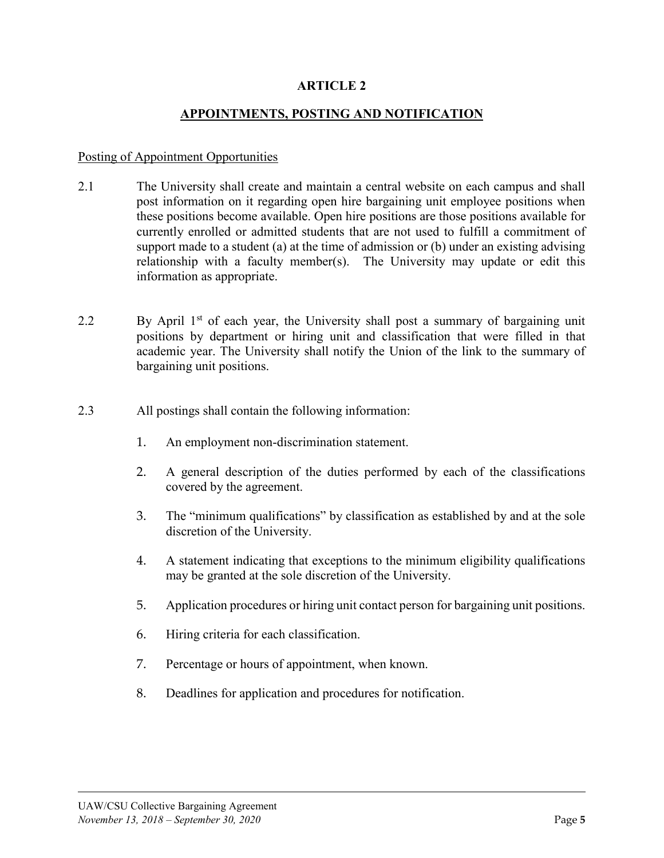## **ARTICLE 2**

### **APPOINTMENTS, POSTING AND NOTIFICATION**

#### Posting of Appointment Opportunities

- 2.1 The University shall create and maintain a central website on each campus and shall post information on it regarding open hire bargaining unit employee positions when these positions become available. Open hire positions are those positions available for currently enrolled or admitted students that are not used to fulfill a commitment of support made to a student (a) at the time of admission or (b) under an existing advising relationship with a faculty member(s). The University may update or edit this information as appropriate.
- 2.2 By April 1<sup>st</sup> of each year, the University shall post a summary of bargaining unit positions by department or hiring unit and classification that were filled in that academic year. The University shall notify the Union of the link to the summary of bargaining unit positions.
- 2.3 All postings shall contain the following information:
	- 1. An employment non-discrimination statement.
	- 2. A general description of the duties performed by each of the classifications covered by the agreement.
	- 3. The "minimum qualifications" by classification as established by and at the sole discretion of the University.
	- 4. A statement indicating that exceptions to the minimum eligibility qualifications may be granted at the sole discretion of the University.
	- 5. Application procedures or hiring unit contact person for bargaining unit positions.
	- 6. Hiring criteria for each classification.
	- 7. Percentage or hours of appointment, when known.
	- 8. Deadlines for application and procedures for notification.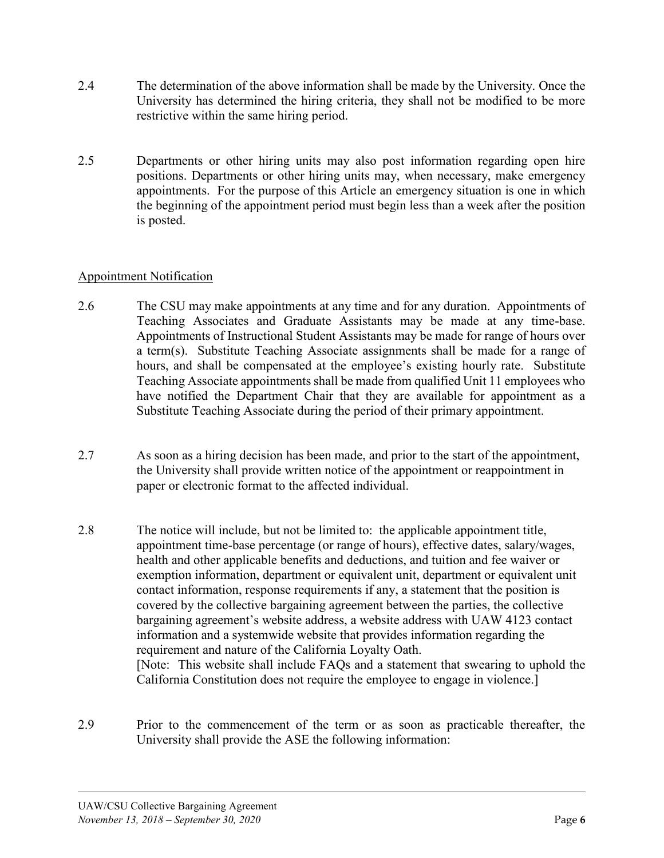- 2.4 The determination of the above information shall be made by the University. Once the University has determined the hiring criteria, they shall not be modified to be more restrictive within the same hiring period.
- 2.5 Departments or other hiring units may also post information regarding open hire positions. Departments or other hiring units may, when necessary, make emergency appointments. For the purpose of this Article an emergency situation is one in which the beginning of the appointment period must begin less than a week after the position is posted.

## Appointment Notification

- 2.6 The CSU may make appointments at any time and for any duration. Appointments of Teaching Associates and Graduate Assistants may be made at any time-base. Appointments of Instructional Student Assistants may be made for range of hours over a term(s). Substitute Teaching Associate assignments shall be made for a range of hours, and shall be compensated at the employee's existing hourly rate. Substitute Teaching Associate appointments shall be made from qualified Unit 11 employees who have notified the Department Chair that they are available for appointment as a Substitute Teaching Associate during the period of their primary appointment.
- 2.7 As soon as a hiring decision has been made, and prior to the start of the appointment, the University shall provide written notice of the appointment or reappointment in paper or electronic format to the affected individual.
- 2.8 The notice will include, but not be limited to: the applicable appointment title, appointment time-base percentage (or range of hours), effective dates, salary/wages, health and other applicable benefits and deductions, and tuition and fee waiver or exemption information, department or equivalent unit, department or equivalent unit contact information, response requirements if any, a statement that the position is covered by the collective bargaining agreement between the parties, the collective bargaining agreement's website address, a website address with UAW 4123 contact information and a systemwide website that provides information regarding the requirement and nature of the California Loyalty Oath. [Note: This website shall include FAQs and a statement that swearing to uphold the California Constitution does not require the employee to engage in violence.]
- 2.9 Prior to the commencement of the term or as soon as practicable thereafter, the University shall provide the ASE the following information: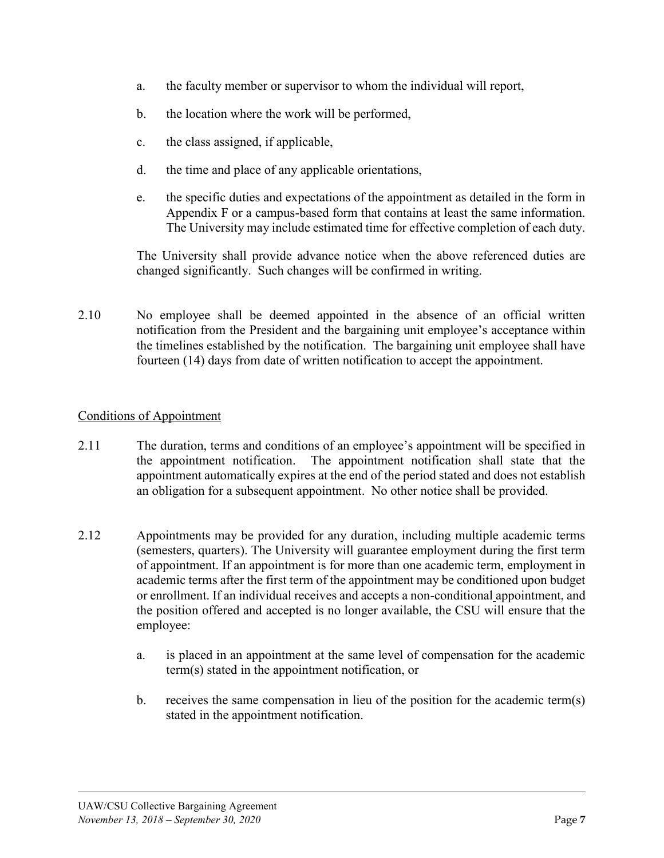- a. the faculty member or supervisor to whom the individual will report,
- b. the location where the work will be performed,
- c. the class assigned, if applicable,
- d. the time and place of any applicable orientations,
- e. the specific duties and expectations of the appointment as detailed in the form in Appendix F or a campus-based form that contains at least the same information. The University may include estimated time for effective completion of each duty.

The University shall provide advance notice when the above referenced duties are changed significantly. Such changes will be confirmed in writing.

2.10 No employee shall be deemed appointed in the absence of an official written notification from the President and the bargaining unit employee's acceptance within the timelines established by the notification. The bargaining unit employee shall have fourteen (14) days from date of written notification to accept the appointment.

# Conditions of Appointment

- 2.11 The duration, terms and conditions of an employee's appointment will be specified in the appointment notification. The appointment notification shall state that the appointment automatically expires at the end of the period stated and does not establish an obligation for a subsequent appointment. No other notice shall be provided.
- 2.12 Appointments may be provided for any duration, including multiple academic terms (semesters, quarters). The University will guarantee employment during the first term of appointment. If an appointment is for more than one academic term, employment in academic terms after the first term of the appointment may be conditioned upon budget or enrollment. If an individual receives and accepts a non-conditional appointment, and the position offered and accepted is no longer available, the CSU will ensure that the employee:
	- a. is placed in an appointment at the same level of compensation for the academic term(s) stated in the appointment notification, or
	- b. receives the same compensation in lieu of the position for the academic term(s) stated in the appointment notification.